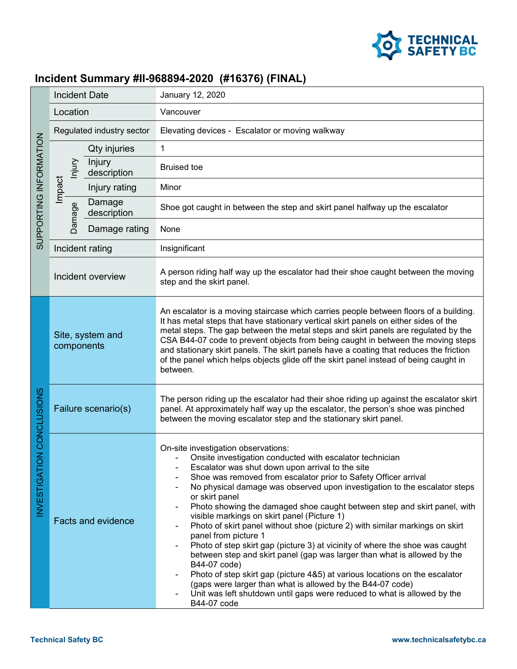

## **Incident Summary #II-968894-2020 (#16376) (FINAL)**

| SUPPORTING INFORMATION                      | <b>Incident Date</b>           |                       | January 12, 2020                                                                                                                                                                                                                                                                                                                                                                                                                                                                                                                                                                                                                                                                                                                                                                                                                                                                                                                                                             |
|---------------------------------------------|--------------------------------|-----------------------|------------------------------------------------------------------------------------------------------------------------------------------------------------------------------------------------------------------------------------------------------------------------------------------------------------------------------------------------------------------------------------------------------------------------------------------------------------------------------------------------------------------------------------------------------------------------------------------------------------------------------------------------------------------------------------------------------------------------------------------------------------------------------------------------------------------------------------------------------------------------------------------------------------------------------------------------------------------------------|
|                                             | Location                       |                       | Vancouver                                                                                                                                                                                                                                                                                                                                                                                                                                                                                                                                                                                                                                                                                                                                                                                                                                                                                                                                                                    |
|                                             | Regulated industry sector      |                       | Elevating devices - Escalator or moving walkway                                                                                                                                                                                                                                                                                                                                                                                                                                                                                                                                                                                                                                                                                                                                                                                                                                                                                                                              |
|                                             | lnjury<br>Impact<br>Damage     | Qty injuries          | $\mathbf{1}$                                                                                                                                                                                                                                                                                                                                                                                                                                                                                                                                                                                                                                                                                                                                                                                                                                                                                                                                                                 |
|                                             |                                | Injury<br>description | <b>Bruised toe</b>                                                                                                                                                                                                                                                                                                                                                                                                                                                                                                                                                                                                                                                                                                                                                                                                                                                                                                                                                           |
|                                             |                                | Injury rating         | Minor                                                                                                                                                                                                                                                                                                                                                                                                                                                                                                                                                                                                                                                                                                                                                                                                                                                                                                                                                                        |
|                                             |                                | Damage<br>description | Shoe got caught in between the step and skirt panel halfway up the escalator                                                                                                                                                                                                                                                                                                                                                                                                                                                                                                                                                                                                                                                                                                                                                                                                                                                                                                 |
|                                             |                                | Damage rating         | None                                                                                                                                                                                                                                                                                                                                                                                                                                                                                                                                                                                                                                                                                                                                                                                                                                                                                                                                                                         |
|                                             | Incident rating                |                       | Insignificant                                                                                                                                                                                                                                                                                                                                                                                                                                                                                                                                                                                                                                                                                                                                                                                                                                                                                                                                                                |
|                                             | Incident overview              |                       | A person riding half way up the escalator had their shoe caught between the moving<br>step and the skirt panel.                                                                                                                                                                                                                                                                                                                                                                                                                                                                                                                                                                                                                                                                                                                                                                                                                                                              |
| <b>ON CONCLUSIONS</b><br><b>INVESTIGATI</b> | Site, system and<br>components |                       | An escalator is a moving staircase which carries people between floors of a building.<br>It has metal steps that have stationary vertical skirt panels on either sides of the<br>metal steps. The gap between the metal steps and skirt panels are regulated by the<br>CSA B44-07 code to prevent objects from being caught in between the moving steps<br>and stationary skirt panels. The skirt panels have a coating that reduces the friction<br>of the panel which helps objects glide off the skirt panel instead of being caught in<br>between.                                                                                                                                                                                                                                                                                                                                                                                                                       |
|                                             | Failure scenario(s)            |                       | The person riding up the escalator had their shoe riding up against the escalator skirt<br>panel. At approximately half way up the escalator, the person's shoe was pinched<br>between the moving escalator step and the stationary skirt panel.                                                                                                                                                                                                                                                                                                                                                                                                                                                                                                                                                                                                                                                                                                                             |
|                                             | <b>Facts and evidence</b>      |                       | On-site investigation observations:<br>Onsite investigation conducted with escalator technician<br>Escalator was shut down upon arrival to the site<br>Shoe was removed from escalator prior to Safety Officer arrival<br>No physical damage was observed upon investigation to the escalator steps<br>or skirt panel<br>Photo showing the damaged shoe caught between step and skirt panel, with<br>visible markings on skirt panel (Picture 1)<br>Photo of skirt panel without shoe (picture 2) with similar markings on skirt<br>panel from picture 1<br>Photo of step skirt gap (picture 3) at vicinity of where the shoe was caught<br>between step and skirt panel (gap was larger than what is allowed by the<br>B44-07 code)<br>Photo of step skirt gap (picture 4&5) at various locations on the escalator<br>(gaps were larger than what is allowed by the B44-07 code)<br>Unit was left shutdown until gaps were reduced to what is allowed by the<br>B44-07 code |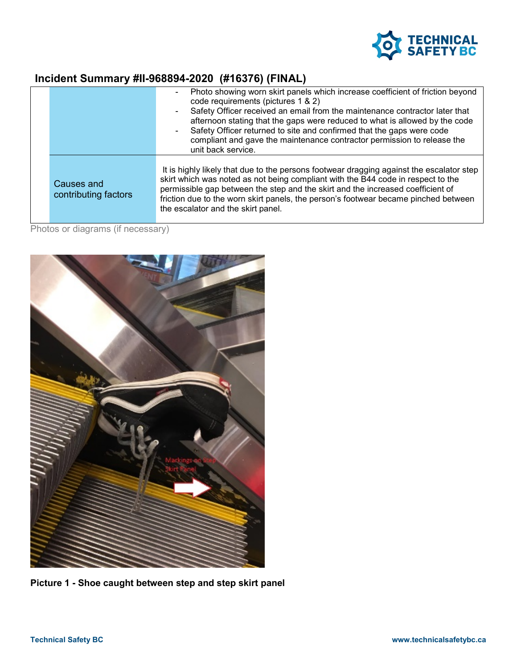

## **Incident Summary #II-968894-2020 (#16376) (FINAL)**

|                                    | Photo showing worn skirt panels which increase coefficient of friction beyond<br>code requirements (pictures 1 & 2)<br>Safety Officer received an email from the maintenance contractor later that<br>afternoon stating that the gaps were reduced to what is allowed by the code<br>Safety Officer returned to site and confirmed that the gaps were code<br>compliant and gave the maintenance contractor permission to release the<br>unit back service. |
|------------------------------------|-------------------------------------------------------------------------------------------------------------------------------------------------------------------------------------------------------------------------------------------------------------------------------------------------------------------------------------------------------------------------------------------------------------------------------------------------------------|
| Causes and<br>contributing factors | It is highly likely that due to the persons footwear dragging against the escalator step<br>skirt which was noted as not being compliant with the B44 code in respect to the<br>permissible gap between the step and the skirt and the increased coefficient of<br>friction due to the worn skirt panels, the person's footwear became pinched between<br>the escalator and the skirt panel.                                                                |

Photos or diagrams (if necessary)



**Picture 1 - Shoe caught between step and step skirt panel**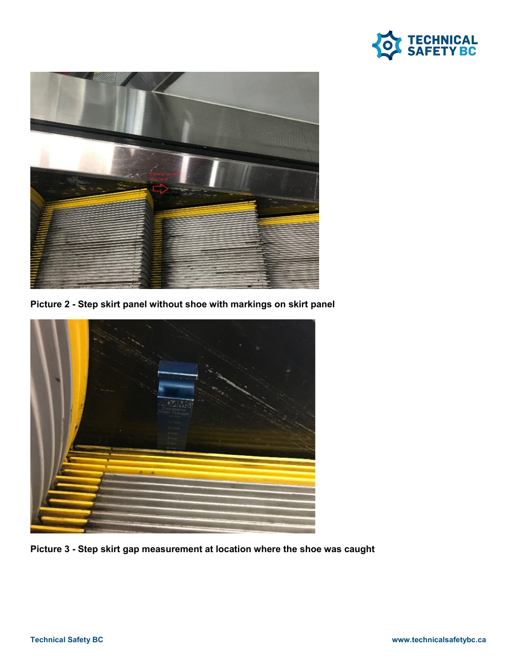



**Picture 2 - Step skirt panel without shoe with markings on skirt panel**



**Picture 3 - Step skirt gap measurement at location where the shoe was caught**